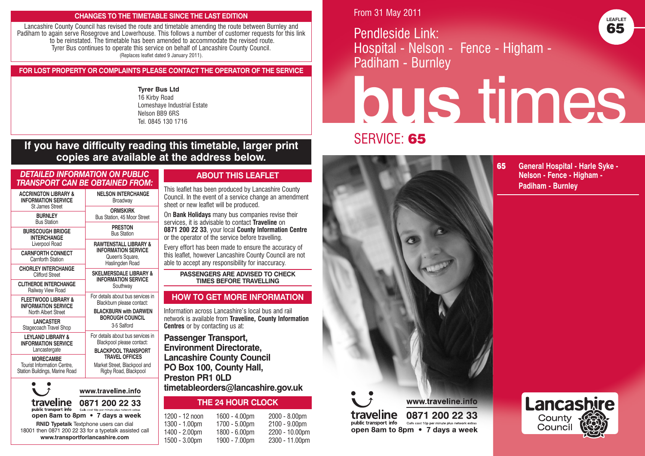#### **CHANGES TO THE TIMETABLE SINCE THE LAST EDITION**

Lancashire County Council has revised the route and timetable amending the route between Burnley and Padiham to again serve Rosegrove and Lowerhouse. This follows a number of customer requests for this link to be reinstated. The timetable has been amended to accommodate the revised route. Tyrer Bus continues to operate this service on behalf of Lancashire County Council. (Replaces leaflet dated 9 January 2011).

### **FOR LOST PROPERTY OR COMPLAINTS PLEASE CONTACT THE OPERATOR OF THE SERVICE**

**Tyrer Bus Ltd** 16 Kirby Road Lomeshaye Industrial Estate Nelson BB9 6RS Tel. 0845 130 1716

# **If you have difficulty reading this timetable, larger print copies are available at the address below.**

| DETAILED INFORMATION ON PUBLIC<br>TRANSPORT CAN BE OBTAINED FROM:                       |                                                                                                |
|-----------------------------------------------------------------------------------------|------------------------------------------------------------------------------------------------|
| <b>ACCRINGTON LIBRARY &amp;</b><br><b>INFORMATION SERVICE</b><br><b>St James Street</b> | <b>NELSON INTERCHANGE</b><br>Broadway                                                          |
| <b>BURNLEY</b><br><b>Bus Station</b>                                                    | <b>ORMSKIRK</b><br>Bus Station, 45 Moor Street                                                 |
| <b>BURSCOUGH BRIDGE</b><br><b>INTERCHANGE</b>                                           | <b>PRESTON</b><br><b>Bus Station</b>                                                           |
| Liverpool Road                                                                          | <b>RAWTENSTALL LIBRARY &amp;</b>                                                               |
| <b>CARNFORTH CONNECT</b><br>Carnforth Station                                           | <b>INFORMATION SERVICE</b><br>Queen's Square,<br>Haslingden Road                               |
| <b>CHORLEY INTERCHANGE</b><br><b>Clifford Street</b>                                    | <b>SKELMERSDALE LIBRARY &amp;</b><br><b>INFORMATION SERVICE</b>                                |
| <b>CLITHEROE INTERCHANGE</b><br>Railway View Road                                       | Southway                                                                                       |
| <b>FLEETWOOD LIBRARY &amp;</b><br><b>INFORMATION SERVICE</b><br>North Albert Street     | For details about bus services in<br>Blackburn please contact:<br><b>BLACKBURN with DARWEN</b> |
| <b>LANCASTER</b>                                                                        | <b>BOROUGH COUNCIL</b>                                                                         |
| Stagecoach Travel Shop                                                                  | 3-5 Salford                                                                                    |
| <b>LEYLAND LIBRARY &amp;</b><br><b>INFORMATION SERVICE</b>                              | For details about bus services in<br>Blackpool please contact:                                 |
| Lancastergate                                                                           | <b>BLACKPOOL TRANSPORT</b>                                                                     |
| <b>MORECAMBE</b><br>Tourist Information Centre,<br>Station Buildings, Marine Road       | <b>TRAVEL OFFICES</b><br>Market Street, Blackpool and<br>Rigby Road, Blackpool                 |
|                                                                                         | www.traveline.info                                                                             |

**RNID Typetalk** Textphone users can dial 18001 then 0871 200 22 33 for a typetalk assisted call **www.transportforlancashire.com**

traveline 0871 200 22 33 **Dublic transport info** Calls cost 10p per minute plus network extras

open 8am to 8pm • 7 days a week

### **ABOUT THIS LEAFLET**

This leaflet has been produced by Lancashire County Council. In the event of a service change an amendment sheet or new leaflet will be produced.

On **Bank Holidays** many bus companies revise their services, it is advisable to contact **Traveline** on **0871 200 22 33**, your local **County Information Centre** or the operator of the service before travelling.

Every effort has been made to ensure the accuracy of this leaflet, however Lancashire County Council are not able to accept any responsibility for inaccuracy.

> **PASSENGERS ARE ADVISED TO CHECK TIMES BEFORE TRAVELLING**

### **HOW TO GET MORE INFORMATION**

Information across Lancashire's local bus and rail network is available from **Traveline, County Information Centres** or by contacting us at:

**Passenger Transport, Environment Directorate, Lancashire County Council PO Box 100, County Hall, Preston PR1 0LD timetableorders@lancashire.gov.uk**

### **THE 24 HOUR CLOCK**

1200 - 12 noon 1300 - 1.00pm 1400 - 2.00pm 1500 - 3.00pm 1600 - 4.00pm 1700 - 5.00pm 1800 - 6.00pm  $1900 - 7.00$ pm 2000 - 8.00pm 2100 - 9.00pm 2200 - 10.00pm 2300 - 11.00pm From 31 May 2011

Pendleside Link: Hospital - Nelson - Fence - Higham - Padiham - Burnley



# **bus** times

# SERVICE: **65**



**65 General Hospital - Harle Syke - Nelson - Fence - Higham - Padiham - Burnley**